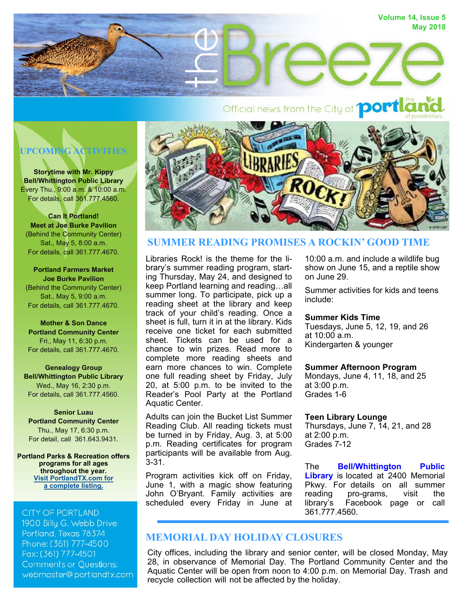



**Storytime with Mr. Kippy Bell/Whittington Public Library**  Every Thu., 9:00 a.m. & 10:00 a.m. For details, call 361.777.4560.

**Can It Portland! Meet at Joe Burke Pavilion** (Behind the Community Center) Sat., May 5, 8:00 a.m. For details, call 361.777.4670.

**Portland Farmers Market Joe Burke Pavilion** (Behind the Community Center) Sat., May 5, 9:00 a.m. For details, call 361.777.4670.

**Mother & Son Dance Portland Community Center**  Fri., May 11, 6:30 p.m. For details, call 361.777.4670.

**Genealogy Group Bell/Whittington Public Library**  Wed., May 16, 2:30 p.m. For details, call 361.777.4560.

**Senior Luau Portland Community Center**  Thu., May 17, 6:30 p.m. For detail, call 361.643.9431.

**Portland Parks & Recreation offers programs for all ages throughout the year. [Visit PortlandTX.com for](http://portlandtx.com/DocumentCenter/View/1891) a complete listing.** 

### **CITY OF PORTLAND**

1900 Billy G. Webb Drive Portland, Texas 78374 Phone: (361) 777-4500 Fax: (361) 777-4501 **Comments or Questions:** webmaster@portlandtx.com



# **SUMMER READING PROMISES A ROCKIN' GOOD TIME**

Libraries Rock! is the theme for the library's summer reading program, starting Thursday, May 24, and designed to keep Portland learning and reading…all summer long. To participate, pick up a reading sheet at the library and keep track of your child's reading. Once a sheet is full, turn it in at the library. Kids receive one ticket for each submitted sheet. Tickets can be used for a chance to win prizes. Read more to complete more reading sheets and earn more chances to win. Complete one full reading sheet by Friday, July 20, at 5:00 p.m. to be invited to the Reader's Pool Party at the Portland Aquatic Center.

Adults can join the Bucket List Summer Reading Club. All reading tickets must be turned in by Friday, Aug. 3, at 5:00 p.m. Reading certificates for program participants will be available from Aug. 3-31.

Program activities kick off on Friday, June 1, with a magic show featuring John O'Bryant. Family activities are scheduled every Friday in June at

10:00 a.m. and include a wildlife bug show on June 15, and a reptile show on June 29.

Summer activities for kids and teens include:

### **Summer Kids Time**

Tuesdays, June 5, 12, 19, and 26 at 10:00 a.m. Kindergarten & younger

### **Summer Afternoon Program**

Mondays, June 4, 11, 18, and 25 at 3:00 p.m. Grades 1-6

## **Teen Library Lounge**

Thursdays, June 7, 14, 21, and 28 at 2:00 p.m. Grades 7-12

The **[Bell/Whittington](http://www.portlandtx.com/index.aspx?nid=181) Public Library** is located at 2400 Memorial Pkwy. For details on all summer reading pro-grams, visit the library's Facebook page or call 361.777.4560.

# **MEMORIAL DAY HOLIDAY CLOSURES**

City offices, including the library and senior center, will be closed Monday, May 28, in observance of Memorial Day. The Portland Community Center and the Aquatic Center will be open from noon to 4:00 p.m. on Memorial Day. Trash and recycle collection will not be affected by the holiday.